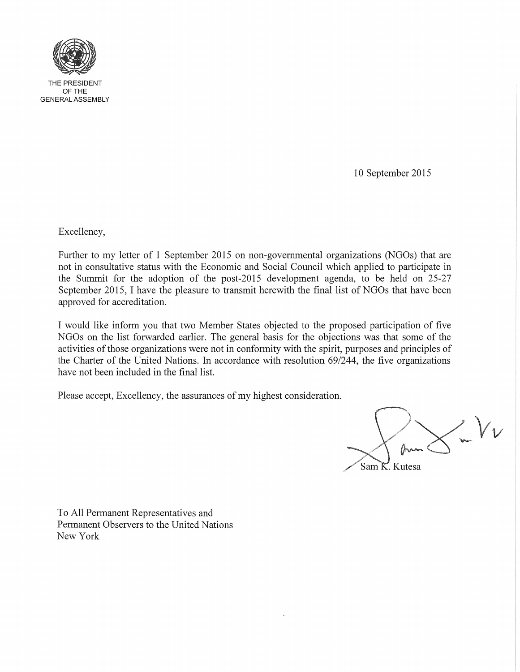

THE PRESIDENT OFTHE GENERAL ASSEMBLY

10 September 2015

Excellency,

Further to my letter of 1 September 2015 on non-governmental organizations (NGOs) that are not in consultative status with the Economic and Social Council which applied to participate in the Summit for the adoption of the post-2015 development agenda, to be held on 25-27 September 2015, I have the pleasure to transmit herewith the final list of NGOs that have been approved for accreditation.

I would like inform you that two Member States objected to the proposed participation of five NGOs on the list forwarded earlier. The general basis for the objections was that some of the activities of those organizations were not in conformity with the spirit, purposes and principles of the Charter of the United Nations. In accordance with resolution 69/244, the five organizations have not been included in the final list.

Please accept, Excellency, the assurances of my highest consideration.

 $\sim V\nu$ Sam K. Kutesa

To All Permanent Representatives and Permanent Observers to the United Nations New York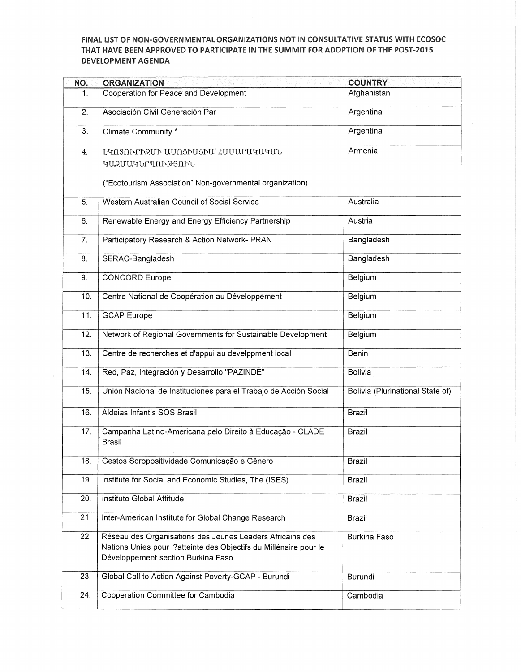## FINAL LIST OF NON-GOVERNMENTAL ORGANIZATIONS NOT IN CONSULTATIVE STATUS WITH ECOSOC THAT HAVE BEEN APPROVED TO PARTiCIPATE IN THE SUMMiT FOR ADOPTION OF THE POST-2015 DEVElOPMENT AGENDA

| NO.               | <b>ORGANIZATION</b>                                                                                                            | <b>COUNTRY</b>                   |
|-------------------|--------------------------------------------------------------------------------------------------------------------------------|----------------------------------|
| 1.                | Cooperation for Peace and Development                                                                                          | Afghanistan                      |
| $\overline{2}$ .  | Asociación Civil Generación Par                                                                                                | Argentina                        |
| 3.                | Climate Community *                                                                                                            | Argentina                        |
| 4.                | ԷԿՈՏՈՒՐԻԶՄԻ ԱՍՈՑԻԱՑԻԱ՛ ՀԱՍԱՐԱԿԱԿԱՆ                                                                                             | Armenia                          |
|                   | ԿԱԶՄԱԿԵՐՊՈՒԹՅՈՒՆ                                                                                                               |                                  |
|                   |                                                                                                                                |                                  |
|                   | ("Ecotourism Association" Non-governmental organization)                                                                       |                                  |
| 5.                | Western Australian Council of Social Service                                                                                   | Australia                        |
| 6.                | Renewable Energy and Energy Efficiency Partnership                                                                             | Austria                          |
| $\overline{7}$ .  | Participatory Research & Action Network- PRAN                                                                                  | Bangladesh                       |
| 8.                | SERAC-Bangladesh                                                                                                               | Bangladesh                       |
| 9.                | <b>CONCORD Europe</b>                                                                                                          | Belgium                          |
| 10.               | Centre National de Coopération au Développement                                                                                | Belgium                          |
| 11.               | <b>GCAP</b> Europe                                                                                                             | Belgium                          |
| 12.               | Network of Regional Governments for Sustainable Development                                                                    | Belgium                          |
| 13.               | Centre de recherches et d'appui au develppment local                                                                           | Benin                            |
| $\overline{14}$ . | Red, Paz, Integración y Desarrollo "PAZINDE"                                                                                   | <b>Bolivia</b>                   |
| 15.               | Unión Nacional de Instituciones para el Trabajo de Acción Social                                                               | Bolivia (Plurinational State of) |
| 16.               | Aldeias Infantis SOS Brasil                                                                                                    | <b>Brazil</b>                    |
| 17.               | Campanha Latino-Americana pelo Direito à Educação - CLADE<br><b>Brasil</b>                                                     | <b>Brazil</b>                    |
| 18.               | Gestos Soropositividade Comunicação e Gênero                                                                                   | Brazil                           |
| 19.               | Institute for Social and Economic Studies, The (ISES)                                                                          | <b>Brazil</b>                    |
| 20.               | Instituto Global Attitude                                                                                                      | Brazil                           |
| 21.               | Inter-American Institute for Global Change Research                                                                            | <b>Brazil</b>                    |
| 22.               | Réseau des Organisations des Jeunes Leaders Africains des<br>Nations Unies pour l?atteinte des Objectifs du Millénaire pour le | Burkina Faso                     |
|                   | Développement section Burkina Faso                                                                                             |                                  |
| 23.               | Global Call to Action Against Poverty-GCAP - Burundi                                                                           | Burundi                          |
| 24.               | Cooperation Committee for Cambodia                                                                                             | Cambodia                         |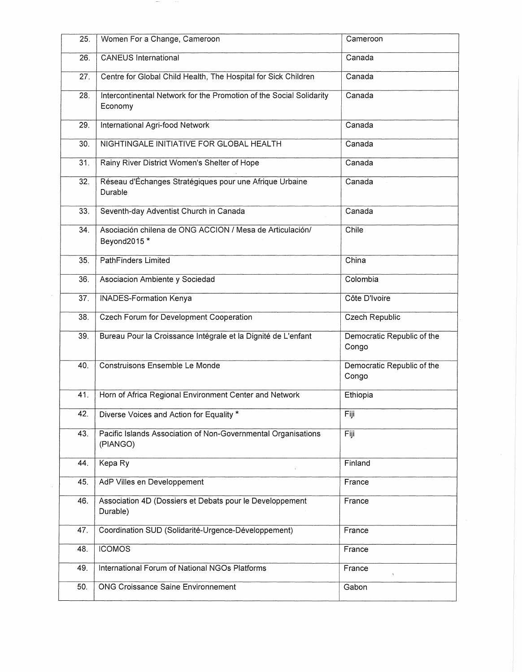| 25. | Women For a Change, Cameroon                                                   | Cameroon                            |
|-----|--------------------------------------------------------------------------------|-------------------------------------|
| 26. | <b>CANEUS International</b>                                                    | Canada                              |
| 27. | Centre for Global Child Health, The Hospital for Sick Children                 | Canada                              |
| 28. | Intercontinental Network for the Promotion of the Social Solidarity<br>Economy | Canada                              |
| 29. | International Agri-food Network                                                | Canada                              |
| 30. | NIGHTINGALE INITIATIVE FOR GLOBAL HEALTH                                       | Canada                              |
| 31. | Rainy River District Women's Shelter of Hope                                   | Canada                              |
| 32. | Réseau d'Échanges Stratégiques pour une Afrique Urbaine<br>Durable             | Canada                              |
| 33. | Seventh-day Adventist Church in Canada                                         | Canada                              |
| 34. | Asociación chilena de ONG ACCION / Mesa de Articulación/<br>Beyond2015*        | Chile                               |
| 35. | PathFinders Limited                                                            | China                               |
| 36. | Asociacion Ambiente y Sociedad                                                 | Colombia                            |
| 37. | <b>INADES-Formation Kenya</b>                                                  | Côte D'Ivoire                       |
| 38. | <b>Czech Forum for Development Cooperation</b>                                 | Czech Republic                      |
| 39. | Bureau Pour la Croissance Intégrale et la Dignité de L'enfant                  | Democratic Republic of the<br>Congo |
| 40. | Construisons Ensemble Le Monde                                                 | Democratic Republic of the<br>Congo |
| 41. | Horn of Africa Regional Environment Center and Network                         | Ethiopia                            |
| 42. | Diverse Voices and Action for Equality *                                       | Fiji                                |
| 43. | Pacific Islands Association of Non-Governmental Organisations<br>(PIANGO)      | Fiji                                |
| 44. | Kepa Ry                                                                        | Finland                             |
| 45. | AdP Villes en Developpement                                                    | France                              |
| 46. | Association 4D (Dossiers et Debats pour le Developpement<br>Durable)           | France                              |
| 47. | Coordination SUD (Solidarité-Urgence-Développement)                            | France                              |
| 48. | <b>ICOMOS</b>                                                                  | France                              |
| 49. | International Forum of National NGOs Platforms                                 | France                              |
| 50. | <b>ONG Croissance Saine Environnement</b>                                      | Gabon                               |
|     |                                                                                |                                     |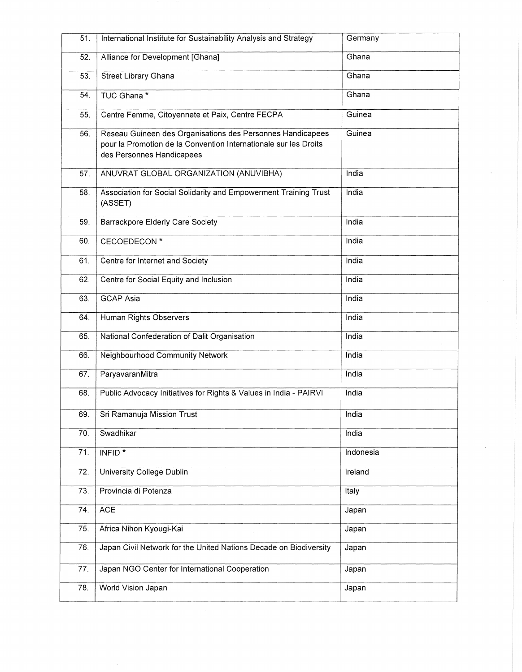| 51. | International Institute for Sustainability Analysis and Strategy                                                                                            | Germany   |
|-----|-------------------------------------------------------------------------------------------------------------------------------------------------------------|-----------|
| 52. | Alliance for Development [Ghana]                                                                                                                            | Ghana     |
| 53. | <b>Street Library Ghana</b>                                                                                                                                 | Ghana     |
| 54. | TUC Ghana*                                                                                                                                                  | Ghana     |
| 55. | Centre Femme, Citoyennete et Paix, Centre FECPA                                                                                                             | Guinea    |
| 56. | Reseau Guineen des Organisations des Personnes Handicapees<br>pour la Promotion de la Convention Internationale sur les Droits<br>des Personnes Handicapees | Guinea    |
| 57. | ANUVRAT GLOBAL ORGANIZATION (ANUVIBHA)                                                                                                                      | India     |
| 58. | Association for Social Solidarity and Empowerment Training Trust<br>(ASSET)                                                                                 | India     |
| 59. | Barrackpore Elderly Care Society                                                                                                                            | India     |
| 60. | CECOEDECON <sup>*</sup>                                                                                                                                     | India     |
| 61. | Centre for Internet and Society                                                                                                                             | India     |
| 62. | Centre for Social Equity and Inclusion                                                                                                                      | India     |
| 63. | <b>GCAP Asia</b>                                                                                                                                            | India     |
| 64. | Human Rights Observers                                                                                                                                      | India     |
| 65. | National Confederation of Dalit Organisation                                                                                                                | India     |
| 66. | <b>Neighbourhood Community Network</b>                                                                                                                      | India     |
| 67. | ParyavaranMitra                                                                                                                                             | India     |
| 68. | Public Advocacy Initiatives for Rights & Values in India - PAIRVI                                                                                           | India     |
| 69. | Sri Ramanuja Mission Trust                                                                                                                                  | India     |
| 70. | Swadhikar                                                                                                                                                   | India     |
| 71. | INFID <sup>*</sup>                                                                                                                                          | Indonesia |
| 72. | University College Dublin                                                                                                                                   | Ireland   |
| 73. | Provincia di Potenza                                                                                                                                        | Italy     |
| 74. | <b>ACE</b>                                                                                                                                                  | Japan     |
| 75. | Africa Nihon Kyougi-Kai                                                                                                                                     | Japan     |
| 76. | Japan Civil Network for the United Nations Decade on Biodiversity                                                                                           | Japan     |
| 77. | Japan NGO Center for International Cooperation                                                                                                              | Japan     |
| 78. | World Vision Japan                                                                                                                                          | Japan     |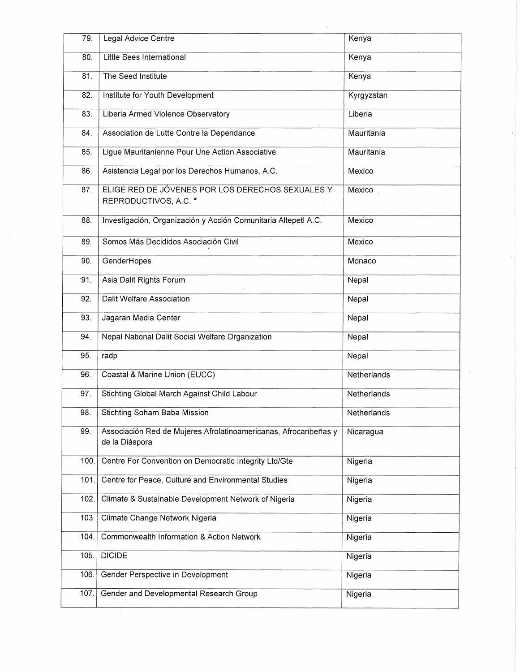| 79.  | Legal Advice Centre                                                                | Kenya       |
|------|------------------------------------------------------------------------------------|-------------|
| 80.  | Little Bees International                                                          | Kenya       |
| 81.  | The Seed Institute                                                                 | Kenya       |
| 82.  | Institute for Youth Development                                                    | Kyrgyzstan  |
| 83.  | Liberia Armed Violence Observatory                                                 | Liberia     |
| 84.  | Association de Lutte Contre la Dependance                                          | Mauritania  |
| 85.  | Ligue Mauritanienne Pour Une Action Associative                                    | Mauritania  |
| 86.  | Asistencia Legal por los Derechos Humanos, A.C.                                    | Mexico      |
| 87.  | ELIGE RED DE JÓVENES POR LOS DERECHOS SEXUALES Y<br>REPRODUCTIVOS, A.C. *          | Mexico      |
| 88.  | Investigación, Organización y Acción Comunitaria Altepetl A.C.                     | Mexico      |
| 89.  | Somos Más Decididos Asociación Civil                                               | Mexico      |
| 90.  | GenderHopes                                                                        | Monaco      |
| 91.  | Asia Dalit Rights Forum                                                            | Nepal       |
| 92.  | <b>Dalit Welfare Association</b>                                                   | Nepal       |
| 93.  | Jagaran Media Center                                                               | Nepal       |
| 94.  | Nepal National Dalit Social Welfare Organization                                   | Nepal       |
| 95.  | radp                                                                               | Nepal       |
| 96.  | Coastal & Marine Union (EUCC)                                                      | Netherlands |
| 97.  | Stichting Global March Against Child Labour                                        | Netherlands |
| 98.  | Stichting Soham Baba Mission                                                       | Netherlands |
| 99.  | Associación Red de Mujeres Afrolatinoamericanas, Afrocaribeñas y<br>de la Diáspora | Nicaragua   |
| 100. | Centre For Convention on Democratic Integrity Ltd/Gte                              | Nigeria     |
| 101. | Centre for Peace, Culture and Environmental Studies                                | Nigeria     |
| 102. | Climate & Sustainable Development Network of Nigeria                               | Nigeria     |
| 103. | Climate Change Network Nigeria                                                     | Nigeria     |
| 104. | Commonwealth Information & Action Network                                          | Nigeria     |
| 105. | <b>DICIDE</b>                                                                      | Nigeria     |
| 106. | Gender Perspective in Development                                                  | Nigeria     |
| 107. | Gender and Developmental Research Group                                            | Nigeria     |
|      |                                                                                    |             |

 $\left| \cdot \right|$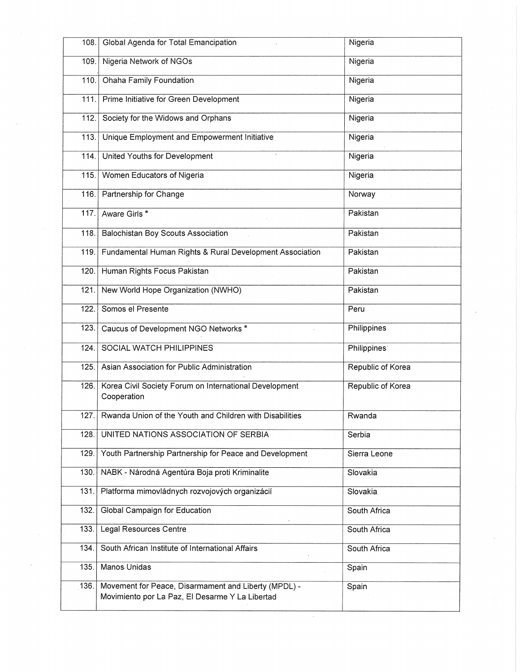| Nigeria Network of NGOs<br>Nigeria<br>109.<br>Ohaha Family Foundation<br>110.<br>Nigeria<br>Prime Initiative for Green Development<br>Nigeria<br>111.<br>Society for the Widows and Orphans<br>Nigeria<br>112.<br>Unique Employment and Empowerment Initiative<br>Nigeria<br>113.<br>Nigeria<br>United Youths for Development<br>114.<br>Women Educators of Nigeria<br>Nigeria<br>115.<br>Partnership for Change<br>116.<br>Norway<br>Aware Girls *<br>117.<br>Pakistan<br><b>Balochistan Boy Scouts Association</b><br>118.<br>Pakistan<br>Fundamental Human Rights & Rural Development Association<br>Pakistan<br>119.<br>Human Rights Focus Pakistan<br>Pakistan<br>120.<br>New World Hope Organization (NWHO)<br>121.<br>Pakistan<br>Somos el Presente<br>122.<br>Peru<br>Philippines<br>123.<br>Caucus of Development NGO Networks *<br>Philippines <sup>®</sup><br>SOCIAL WATCH PHILIPPINES<br>124.<br>Republic of Korea<br>Asian Association for Public Administration<br>125.<br>Korea Civil Society Forum on International Development<br>Republic of Korea<br>126.<br>Cooperation<br>Rwanda Union of the Youth and Children with Disabilities<br>127.1<br>Rwanda<br>UNITED NATIONS ASSOCIATION OF SERBIA<br>128.<br>Serbia<br>129.<br>Youth Partnership Partnership for Peace and Development<br>Sierra Leone<br>NABK - Národná Agentúra Boja proti Kriminalite<br>130.<br>Slovakia<br>Platforma mimovládnych rozvojových organizácií<br>131.<br>Slovakia<br>Global Campaign for Education<br>132.<br>South Africa<br>Legal Resources Centre<br>133.<br>South Africa<br>South African Institute of International Affairs<br>134.<br>South Africa<br>Manos Unidas<br>135.<br>Spain<br>Movement for Peace, Disarmament and Liberty (MPDL) -<br>136.<br>Spain<br>Movimiento por La Paz, El Desarme Y La Libertad | 108. | Global Agenda for Total Emancipation | Nigeria |
|-------------------------------------------------------------------------------------------------------------------------------------------------------------------------------------------------------------------------------------------------------------------------------------------------------------------------------------------------------------------------------------------------------------------------------------------------------------------------------------------------------------------------------------------------------------------------------------------------------------------------------------------------------------------------------------------------------------------------------------------------------------------------------------------------------------------------------------------------------------------------------------------------------------------------------------------------------------------------------------------------------------------------------------------------------------------------------------------------------------------------------------------------------------------------------------------------------------------------------------------------------------------------------------------------------------------------------------------------------------------------------------------------------------------------------------------------------------------------------------------------------------------------------------------------------------------------------------------------------------------------------------------------------------------------------------------------------------------------------------------------------------------------------------------------------------------------|------|--------------------------------------|---------|
|                                                                                                                                                                                                                                                                                                                                                                                                                                                                                                                                                                                                                                                                                                                                                                                                                                                                                                                                                                                                                                                                                                                                                                                                                                                                                                                                                                                                                                                                                                                                                                                                                                                                                                                                                                                                                         |      |                                      |         |
|                                                                                                                                                                                                                                                                                                                                                                                                                                                                                                                                                                                                                                                                                                                                                                                                                                                                                                                                                                                                                                                                                                                                                                                                                                                                                                                                                                                                                                                                                                                                                                                                                                                                                                                                                                                                                         |      |                                      |         |
|                                                                                                                                                                                                                                                                                                                                                                                                                                                                                                                                                                                                                                                                                                                                                                                                                                                                                                                                                                                                                                                                                                                                                                                                                                                                                                                                                                                                                                                                                                                                                                                                                                                                                                                                                                                                                         |      |                                      |         |
|                                                                                                                                                                                                                                                                                                                                                                                                                                                                                                                                                                                                                                                                                                                                                                                                                                                                                                                                                                                                                                                                                                                                                                                                                                                                                                                                                                                                                                                                                                                                                                                                                                                                                                                                                                                                                         |      |                                      |         |
|                                                                                                                                                                                                                                                                                                                                                                                                                                                                                                                                                                                                                                                                                                                                                                                                                                                                                                                                                                                                                                                                                                                                                                                                                                                                                                                                                                                                                                                                                                                                                                                                                                                                                                                                                                                                                         |      |                                      |         |
|                                                                                                                                                                                                                                                                                                                                                                                                                                                                                                                                                                                                                                                                                                                                                                                                                                                                                                                                                                                                                                                                                                                                                                                                                                                                                                                                                                                                                                                                                                                                                                                                                                                                                                                                                                                                                         |      |                                      |         |
|                                                                                                                                                                                                                                                                                                                                                                                                                                                                                                                                                                                                                                                                                                                                                                                                                                                                                                                                                                                                                                                                                                                                                                                                                                                                                                                                                                                                                                                                                                                                                                                                                                                                                                                                                                                                                         |      |                                      |         |
|                                                                                                                                                                                                                                                                                                                                                                                                                                                                                                                                                                                                                                                                                                                                                                                                                                                                                                                                                                                                                                                                                                                                                                                                                                                                                                                                                                                                                                                                                                                                                                                                                                                                                                                                                                                                                         |      |                                      |         |
|                                                                                                                                                                                                                                                                                                                                                                                                                                                                                                                                                                                                                                                                                                                                                                                                                                                                                                                                                                                                                                                                                                                                                                                                                                                                                                                                                                                                                                                                                                                                                                                                                                                                                                                                                                                                                         |      |                                      |         |
|                                                                                                                                                                                                                                                                                                                                                                                                                                                                                                                                                                                                                                                                                                                                                                                                                                                                                                                                                                                                                                                                                                                                                                                                                                                                                                                                                                                                                                                                                                                                                                                                                                                                                                                                                                                                                         |      |                                      |         |
|                                                                                                                                                                                                                                                                                                                                                                                                                                                                                                                                                                                                                                                                                                                                                                                                                                                                                                                                                                                                                                                                                                                                                                                                                                                                                                                                                                                                                                                                                                                                                                                                                                                                                                                                                                                                                         |      |                                      |         |
|                                                                                                                                                                                                                                                                                                                                                                                                                                                                                                                                                                                                                                                                                                                                                                                                                                                                                                                                                                                                                                                                                                                                                                                                                                                                                                                                                                                                                                                                                                                                                                                                                                                                                                                                                                                                                         |      |                                      |         |
|                                                                                                                                                                                                                                                                                                                                                                                                                                                                                                                                                                                                                                                                                                                                                                                                                                                                                                                                                                                                                                                                                                                                                                                                                                                                                                                                                                                                                                                                                                                                                                                                                                                                                                                                                                                                                         |      |                                      |         |
|                                                                                                                                                                                                                                                                                                                                                                                                                                                                                                                                                                                                                                                                                                                                                                                                                                                                                                                                                                                                                                                                                                                                                                                                                                                                                                                                                                                                                                                                                                                                                                                                                                                                                                                                                                                                                         |      |                                      |         |
|                                                                                                                                                                                                                                                                                                                                                                                                                                                                                                                                                                                                                                                                                                                                                                                                                                                                                                                                                                                                                                                                                                                                                                                                                                                                                                                                                                                                                                                                                                                                                                                                                                                                                                                                                                                                                         |      |                                      |         |
|                                                                                                                                                                                                                                                                                                                                                                                                                                                                                                                                                                                                                                                                                                                                                                                                                                                                                                                                                                                                                                                                                                                                                                                                                                                                                                                                                                                                                                                                                                                                                                                                                                                                                                                                                                                                                         |      |                                      |         |
|                                                                                                                                                                                                                                                                                                                                                                                                                                                                                                                                                                                                                                                                                                                                                                                                                                                                                                                                                                                                                                                                                                                                                                                                                                                                                                                                                                                                                                                                                                                                                                                                                                                                                                                                                                                                                         |      |                                      |         |
|                                                                                                                                                                                                                                                                                                                                                                                                                                                                                                                                                                                                                                                                                                                                                                                                                                                                                                                                                                                                                                                                                                                                                                                                                                                                                                                                                                                                                                                                                                                                                                                                                                                                                                                                                                                                                         |      |                                      |         |
|                                                                                                                                                                                                                                                                                                                                                                                                                                                                                                                                                                                                                                                                                                                                                                                                                                                                                                                                                                                                                                                                                                                                                                                                                                                                                                                                                                                                                                                                                                                                                                                                                                                                                                                                                                                                                         |      |                                      |         |
|                                                                                                                                                                                                                                                                                                                                                                                                                                                                                                                                                                                                                                                                                                                                                                                                                                                                                                                                                                                                                                                                                                                                                                                                                                                                                                                                                                                                                                                                                                                                                                                                                                                                                                                                                                                                                         |      |                                      |         |
|                                                                                                                                                                                                                                                                                                                                                                                                                                                                                                                                                                                                                                                                                                                                                                                                                                                                                                                                                                                                                                                                                                                                                                                                                                                                                                                                                                                                                                                                                                                                                                                                                                                                                                                                                                                                                         |      |                                      |         |
|                                                                                                                                                                                                                                                                                                                                                                                                                                                                                                                                                                                                                                                                                                                                                                                                                                                                                                                                                                                                                                                                                                                                                                                                                                                                                                                                                                                                                                                                                                                                                                                                                                                                                                                                                                                                                         |      |                                      |         |
|                                                                                                                                                                                                                                                                                                                                                                                                                                                                                                                                                                                                                                                                                                                                                                                                                                                                                                                                                                                                                                                                                                                                                                                                                                                                                                                                                                                                                                                                                                                                                                                                                                                                                                                                                                                                                         |      |                                      |         |
|                                                                                                                                                                                                                                                                                                                                                                                                                                                                                                                                                                                                                                                                                                                                                                                                                                                                                                                                                                                                                                                                                                                                                                                                                                                                                                                                                                                                                                                                                                                                                                                                                                                                                                                                                                                                                         |      |                                      |         |
|                                                                                                                                                                                                                                                                                                                                                                                                                                                                                                                                                                                                                                                                                                                                                                                                                                                                                                                                                                                                                                                                                                                                                                                                                                                                                                                                                                                                                                                                                                                                                                                                                                                                                                                                                                                                                         |      |                                      |         |
|                                                                                                                                                                                                                                                                                                                                                                                                                                                                                                                                                                                                                                                                                                                                                                                                                                                                                                                                                                                                                                                                                                                                                                                                                                                                                                                                                                                                                                                                                                                                                                                                                                                                                                                                                                                                                         |      |                                      |         |
|                                                                                                                                                                                                                                                                                                                                                                                                                                                                                                                                                                                                                                                                                                                                                                                                                                                                                                                                                                                                                                                                                                                                                                                                                                                                                                                                                                                                                                                                                                                                                                                                                                                                                                                                                                                                                         |      |                                      |         |
|                                                                                                                                                                                                                                                                                                                                                                                                                                                                                                                                                                                                                                                                                                                                                                                                                                                                                                                                                                                                                                                                                                                                                                                                                                                                                                                                                                                                                                                                                                                                                                                                                                                                                                                                                                                                                         |      |                                      |         |

 $\begin{aligned} \frac{d}{dt} & = \frac{1}{2} \left( \frac{d}{dt} \right) \frac{d}{dt} \end{aligned}$ 

 $\sim$   $\sim$ 

 $\sim$ 

 $\label{eq:2} \frac{1}{\sqrt{2}}\left(\frac{1}{\sqrt{2}}\right)^{2} \left(\frac{1}{\sqrt{2}}\right)^{2}$ 

 $\mathcal{L}^{\text{max}}$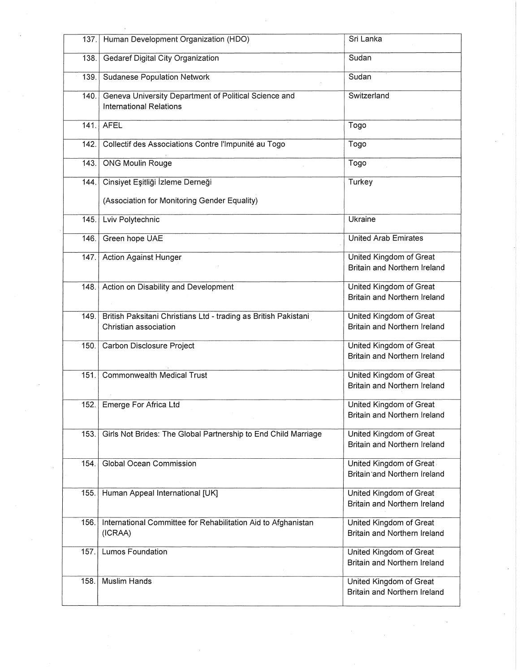| 137. | Human Development Organization (HDO)                                             | Sri Lanka                                                      |
|------|----------------------------------------------------------------------------------|----------------------------------------------------------------|
| 138. | Gedaref Digital City Organization                                                | Sudan                                                          |
| 139. | <b>Sudanese Population Network</b>                                               | Sudan                                                          |
| 140. | Geneva University Department of Political Science and<br>International Relations | Switzerland                                                    |
| 141. | <b>AFEL</b>                                                                      | Togo                                                           |
| 142. | Collectif des Associations Contre l'Impunité au Togo                             | Togo                                                           |
| 143. | <b>ONG Moulin Rouge</b>                                                          | Togo                                                           |
| 144. | Cinsiyet Eşitliği İzleme Derneği                                                 | Turkey                                                         |
|      | (Association for Monitoring Gender Equality)                                     |                                                                |
| 145. | Lviv Polytechnic                                                                 | Ukraine                                                        |
| 146. | Green hope UAE                                                                   | <b>United Arab Emirates</b>                                    |
| 147. | <b>Action Against Hunger</b>                                                     | <b>United Kingdom of Great</b><br>Britain and Northern Ireland |
| 148. | Action on Disability and Development                                             | United Kingdom of Great<br>Britain and Northern Ireland        |
| 149. | British Paksitani Christians Ltd - trading as British Pakistani                  | <b>United Kingdom of Great</b>                                 |
|      | Christian association                                                            | Britain and Northern Ireland                                   |
| 150. | Carbon Disclosure Project                                                        | United Kingdom of Great<br>Britain and Northern Ireland        |
| 151. | <b>Commonwealth Medical Trust</b>                                                | United Kingdom of Great                                        |
|      |                                                                                  | Britain and Northern Ireland                                   |
| 152. | Emerge For Africa Ltd                                                            | United Kingdom of Great                                        |
|      |                                                                                  | Britain and Northern Ireland                                   |
| 153. | Girls Not Brides: The Global Partnership to End Child Marriage                   | United Kingdom of Great                                        |
|      |                                                                                  | Britain and Northern Ireland                                   |
| 154. | <b>Global Ocean Commission</b>                                                   | United Kingdom of Great                                        |
|      |                                                                                  | Britain and Northern Ireland                                   |
| 155. | Human Appeal International [UK]                                                  | <b>United Kingdom of Great</b>                                 |
|      |                                                                                  | Britain and Northern Ireland                                   |
| 156. | International Committee for Rehabilitation Aid to Afghanistan                    | United Kingdom of Great                                        |
|      | (ICRAA)                                                                          | Britain and Northern Ireland                                   |
| 157. | Lumos Foundation                                                                 | United Kingdom of Great                                        |
|      |                                                                                  | Britain and Northern Ireland                                   |
| 158. | <b>Muslim Hands</b>                                                              | United Kingdom of Great                                        |
|      |                                                                                  | Britain and Northern Ireland                                   |

 $\sim$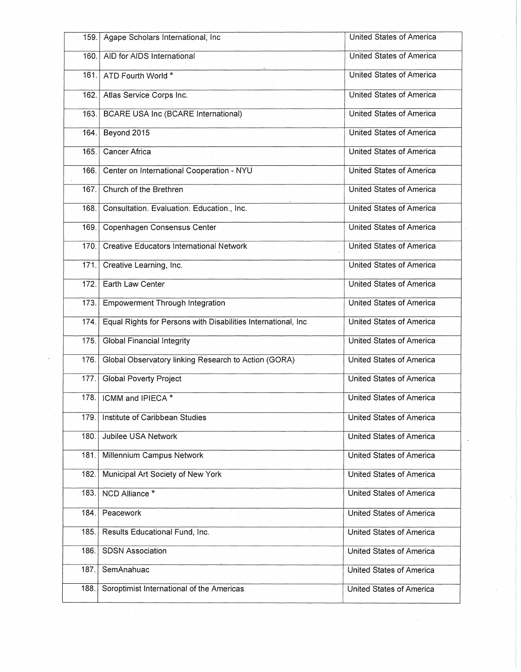| 159.  | Agape Scholars International, Inc.                            | United States of America        |
|-------|---------------------------------------------------------------|---------------------------------|
| 160.  | AID for AIDS International                                    | United States of America        |
| 161.  | ATD Fourth World *                                            | <b>United States of America</b> |
| 162.  | Atlas Service Corps Inc.                                      | United States of America        |
| 163.  | BCARE USA Inc (BCARE International)                           | United States of America        |
| 164.  | Beyond 2015                                                   | United States of America        |
| 165.  | Cancer Africa                                                 | <b>United States of America</b> |
| 166.  | Center on International Cooperation - NYU                     | United States of America        |
| 167.  | Church of the Brethren                                        | United States of America        |
| 168.  | Consultation. Evaluation. Education., Inc.                    | <b>United States of America</b> |
| 169.1 | Copenhagen Consensus Center                                   | United States of America        |
| 170.  | <b>Creative Educators International Network</b>               | United States of America        |
| 171.1 | Creative Learning, Inc.                                       | United States of America        |
| 172.  | Earth Law Center                                              | <b>United States of America</b> |
| 173.  | <b>Empowerment Through Integration</b>                        | United States of America        |
| 174.  | Equal Rights for Persons with Disabilities International, Inc | <b>United States of America</b> |
| 175.  | <b>Global Financial Integrity</b>                             | United States of America        |
| 176.  | Global Observatory linking Research to Action (GORA)          | United States of America        |
| 177.  | <b>Global Poverty Project</b>                                 | United States of America        |
| 178.  | ICMM and IPIECA <sup>*</sup>                                  | <b>United States of America</b> |
| 179.  | Institute of Caribbean Studies                                | United States of America        |
| 180.  | Jubilee USA Network                                           | United States of America        |
| 181.  | Millennium Campus Network                                     | United States of America        |
| 182.  | Municipal Art Society of New York                             | United States of America        |
| 183.  | NCD Alliance *                                                | <b>United States of America</b> |
| 184.  | Peacework                                                     | United States of America        |
| 185.  | Results Educational Fund, Inc.                                | <b>United States of America</b> |
| 186.  | <b>SDSN Association</b>                                       | United States of America        |
| 187.  | SemAnahuac                                                    | United States of America        |
| 188.  | Soroptimist International of the Americas                     | United States of America        |

 $\hat{\boldsymbol{\beta}}$